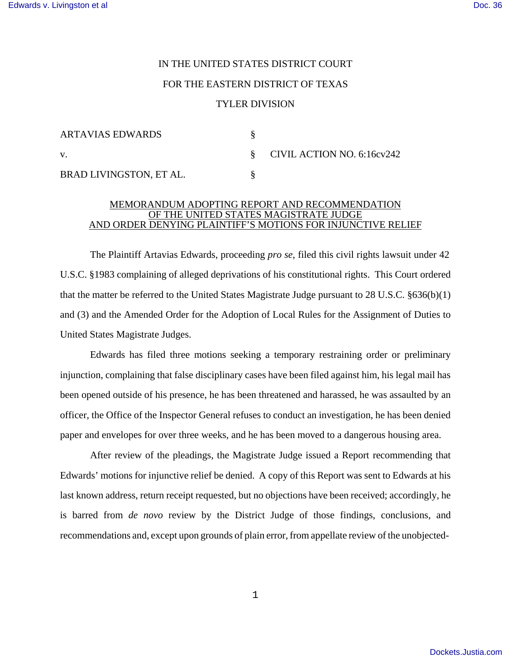## IN THE UNITED STATES DISTRICT COURT FOR THE EASTERN DISTRICT OF TEXAS TYLER DIVISION

| <b>ARTAVIAS EDWARDS</b> |                                 |
|-------------------------|---------------------------------|
| V.                      | $\S$ CIVIL ACTION NO. 6:16cv242 |
| BRAD LIVINGSTON, ET AL. |                                 |

## MEMORANDUM ADOPTING REPORT AND RECOMMENDATION OF THE UNITED STATES MAGISTRATE JUDGE AND ORDER DENYING PLAINTIFF'S MOTIONS FOR INJUNCTIVE RELIEF

The Plaintiff Artavias Edwards, proceeding *pro se*, filed this civil rights lawsuit under 42 U.S.C. §1983 complaining of alleged deprivations of his constitutional rights. This Court ordered that the matter be referred to the United States Magistrate Judge pursuant to 28 U.S.C. §636(b)(1) and (3) and the Amended Order for the Adoption of Local Rules for the Assignment of Duties to United States Magistrate Judges.

Edwards has filed three motions seeking a temporary restraining order or preliminary injunction, complaining that false disciplinary cases have been filed against him, his legal mail has been opened outside of his presence, he has been threatened and harassed, he was assaulted by an officer, the Office of the Inspector General refuses to conduct an investigation, he has been denied paper and envelopes for over three weeks, and he has been moved to a dangerous housing area.

After review of the pleadings, the Magistrate Judge issued a Report recommending that Edwards' motions for injunctive relief be denied. A copy of this Report was sent to Edwards at his last known address, return receipt requested, but no objections have been received; accordingly, he is barred from *de novo* review by the District Judge of those findings, conclusions, and recommendations and, except upon grounds of plain error, from appellate review of the unobjected